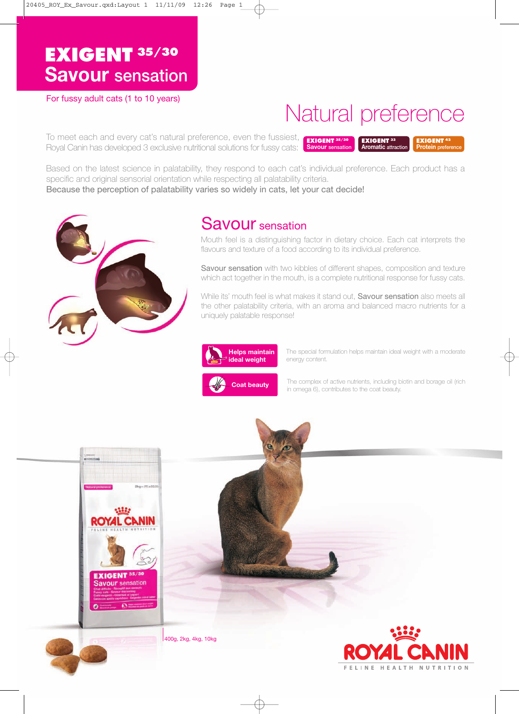# **EXIGENT 35/30 Savour sensation**

For fussy adult cats (1 to 10 years)

# Natural preference

**EXIGENT <sup>33</sup> Aromatic attraction**

**EXIGENT <sup>42</sup> Protein preference**

**EXIGENT 35/30 Savour sensation** To meet each and every cat's natural preference, even the fussiest, Royal Canin has developed 3 exclusive nutritional solutions for fussy cats:

Based on the latest science in palatability, they respond to each cat's individual preference. Each product has a specific and original sensorial orientation while respecting all palatability criteria. Because the perception of palatability varies so widely in cats, let your cat decide!



# Savour sensation

Mouth feel is a distinguishing factor in dietary choice. Each cat interprets the flavours and texture of a food according to its individual preference.

Savour sensation with two kibbles of different shapes, composition and texture which act together in the mouth, is a complete nutritional response for fussy cats.

While its' mouth feel is what makes it stand out, **Savour sensation** also meets all the other palatability criteria, with an aroma and balanced macro nutrients for a uniquely palatable response!



The special formulation helps maintain ideal weight with a moderate energy content.



The complex of active nutrients, including biotin and borage oil (rich in omega 6), contributes to the coat beauty.